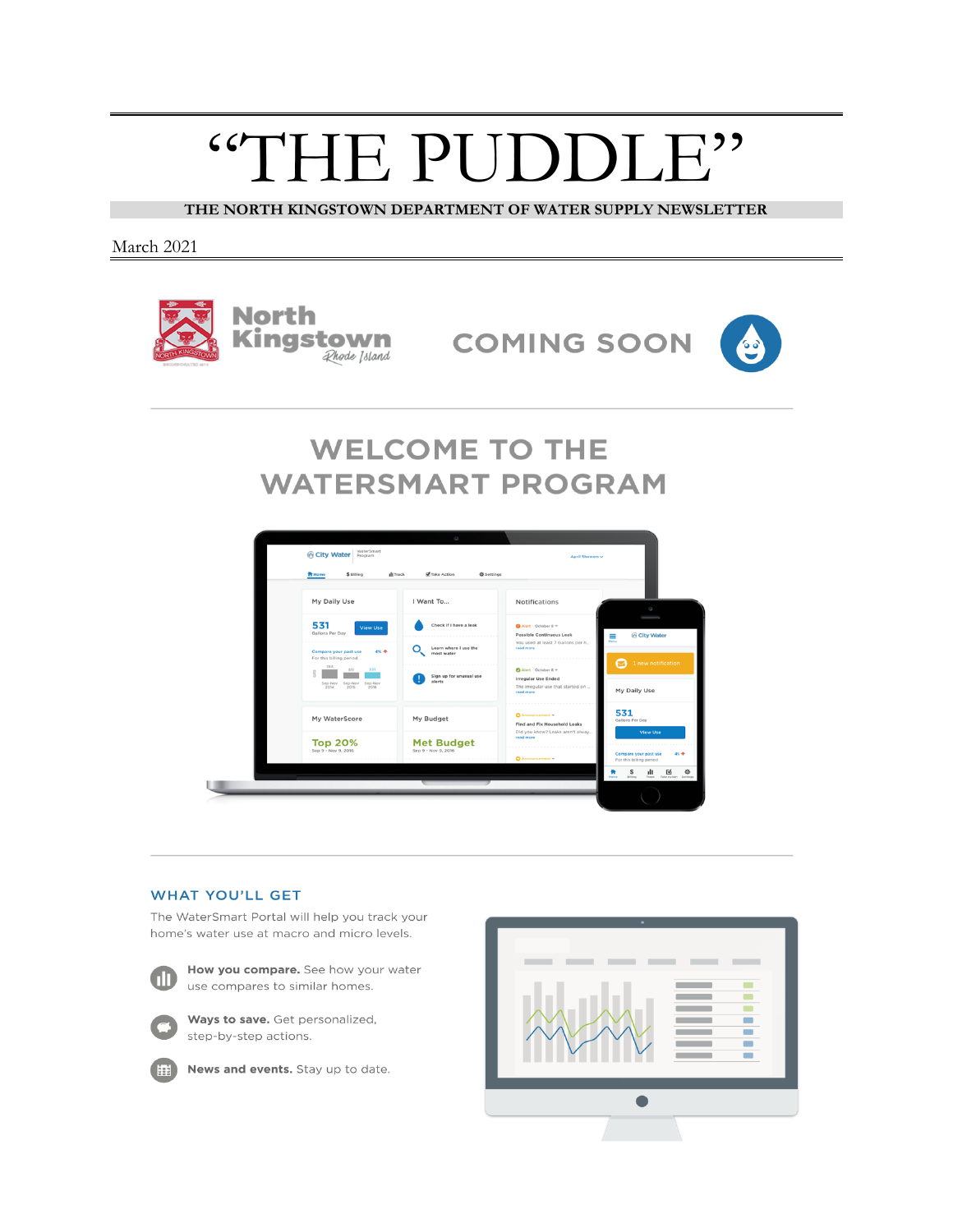# "THE PUDDLE"

**THE NORTH KINGSTOWN DEPARTMENT OF WATER SUPPLY NEWSLETTER**

March 2021



**COMING SOON** 



## **WELCOME TO THE WATERSMART PROGRAM**



#### **WHAT YOU'LL GET**

The WaterSmart Portal will help you track your home's water use at macro and micro levels.



How you compare. See how your water use compares to similar homes.



Ways to save. Get personalized, step-by-step actions.



News and events. Stay up to date.